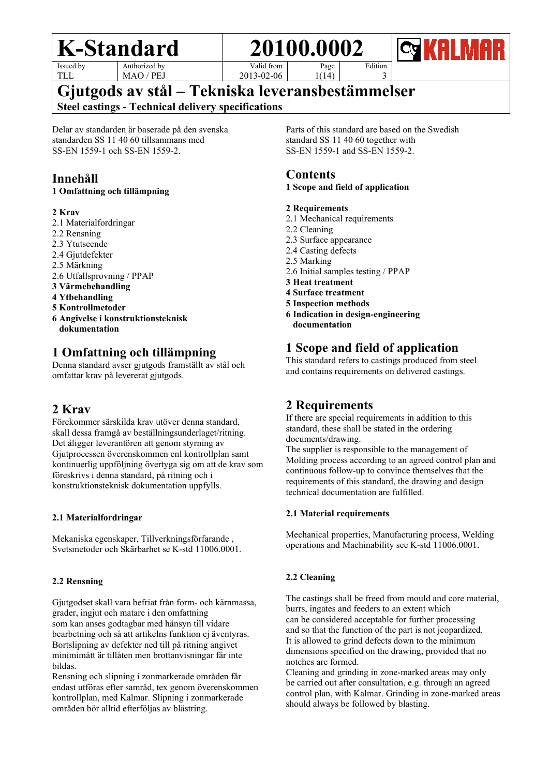Issued by TLL

Authorized by MAO / PEJ Valid from

2013-02-06

1(14)

**Gjutgods av stål – Tekniska leveransbestämmelser**

**Steel castings - Technical delivery specifications**

Delar av standarden är baserade på den svenska standarden SS 11 40 60 tillsammans med SS-EN 1559-1 och SS-EN 1559-2.

# **Innehåll**

### **1 Omfattning och tillämpning**

### **2 Krav**

- 2.1 Materialfordringar
- 2.2 Rensning
- 2.3 Ytutseende
- 2.4 Gjutdefekter
- 2.5 Märkning
- 2.6 Utfallsprovning / PPAP
- **3 Värmebehandling**
- **4 Ytbehandling**
- **5 Kontrollmetoder**
- **6 Angivelse i konstruktionsteknisk dokumentation**

# **1 Omfattning och tillämpning**

Denna standard avser gjutgods framställt av stål och omfattar krav på levererat gjutgods.

# **2 Krav**

Förekommer särskilda krav utöver denna standard, skall dessa framgå av beställningsunderlaget/ritning. Det åligger leverantören att genom styrning av Gjutprocessen överenskommen enl kontrollplan samt kontinuerlig uppföljning övertyga sig om att de krav som föreskrivs i denna standard, på ritning och i konstruktionsteknisk dokumentation uppfylls.

### **2.1 Materialfordringar**

Mekaniska egenskaper, Tillverkningsförfarande , Svetsmetoder och Skärbarhet se K-std 11006.0001.

### **2.2 Rensning**

Gjutgodset skall vara befriat från form- och kärnmassa, grader, ingjut och matare i den omfattning som kan anses godtagbar med hänsyn till vidare bearbetning och så att artikelns funktion ej äventyras. Bortslipning av defekter ned till på ritning angivet minimimått är tillåten men brottanvisningar får inte bildas.

Rensning och slipning i zonmarkerade områden får endast utföras efter samråd, tex genom överenskommen kontrollplan, med Kalmar. Slipning i zonmarkerade områden bör alltid efterföljas av blästring.

Parts of this standard are based on the Swedish standard SS 11 40 60 together with SS-EN 1559-1 and SS-EN 1559-2.

Edition 3

## **Contents**

### **1 Scope and field of application**

#### **2 Requirements**

- 2.1 Mechanical requirements
- 2.2 Cleaning
- 2.3 Surface appearance

Page

- 2.4 Casting defects
- 2.5 Marking
- 2.6 Initial samples testing / PPAP
- **3 Heat treatment**
- **4 Surface treatment**
- **5 Inspection methods**
- **6 Indication in design-engineering documentation**

# **1 Scope and field of application**

This standard refers to castings produced from steel and contains requirements on delivered castings.

# **2 Requirements**

If there are special requirements in addition to this standard, these shall be stated in the ordering documents/drawing.

The supplier is responsible to the management of Molding process according to an agreed control plan and continuous follow-up to convince themselves that the requirements of this standard, the drawing and design technical documentation are fulfilled.

### **2.1 Material requirements**

Mechanical properties, Manufacturing process, Welding operations and Machinability see K-std 11006.0001.

### **2.2 Cleaning**

The castings shall be freed from mould and core material, burrs, ingates and feeders to an extent which can be considered acceptable for further processing and so that the function of the part is not jeopardized. It is allowed to grind defects down to the minimum dimensions specified on the drawing, provided that no notches are formed.

Cleaning and grinding in zone-marked areas may only be carried out after consultation, e.g. through an agreed control plan, with Kalmar. Grinding in zone-marked areas should always be followed by blasting.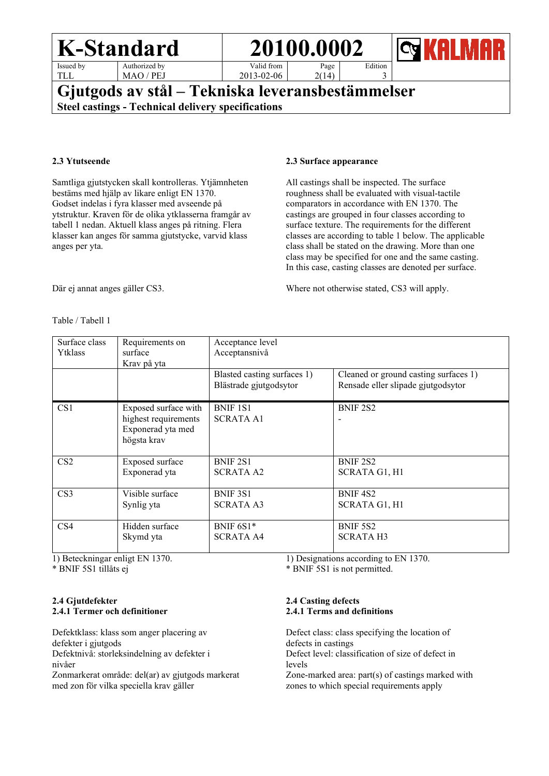| <b>K-Standard</b> |  |
|-------------------|--|
|-------------------|--|

Issued by TLL

Authorized by MAO / PEJ

Valid from 2013-02-06 Page  $2(14)$ 

**K-Standard 20100.0002**



# **Gjutgods av stål – Tekniska leveransbestämmelser Steel castings - Technical delivery specifications**

#### **2.3 Ytutseende**

Samtliga gjutstycken skall kontrolleras. Ytjämnheten bestäms med hjälp av likare enligt EN 1370. Godset indelas i fyra klasser med avseende på ytstruktur. Kraven för de olika ytklasserna framgår av tabell 1 nedan. Aktuell klass anges på ritning. Flera klasser kan anges för samma gjutstycke, varvid klass anges per yta.

#### **2.3 Surface appearance**

All castings shall be inspected. The surface roughness shall be evaluated with visual-tactile comparators in accordance with EN 1370. The castings are grouped in four classes according to surface texture. The requirements for the different classes are according to table 1 below. The applicable class shall be stated on the drawing. More than one class may be specified for one and the same casting. In this case, casting classes are denoted per surface.

Edition 3

Where not otherwise stated, CS3 will apply.

Där ej annat anges gäller CS3.

#### Table / Tabell 1

| Surface class<br>Ytklass | Requirements on<br>surface<br>Krav på yta                                        | Acceptance level<br>Acceptansnivå                     |                                                                             |
|--------------------------|----------------------------------------------------------------------------------|-------------------------------------------------------|-----------------------------------------------------------------------------|
|                          |                                                                                  | Blasted casting surfaces 1)<br>Blästrade gjutgodsytor | Cleaned or ground casting surfaces 1)<br>Rensade eller slipade gjutgodsytor |
| CS <sub>1</sub>          | Exposed surface with<br>highest requirements<br>Exponerad yta med<br>högsta krav | BNIF 1S1<br><b>SCRATA A1</b>                          | <b>BNIF 2S2</b>                                                             |
| CS <sub>2</sub>          | Exposed surface                                                                  | <b>BNIF 2S1</b>                                       | <b>BNIF 2S2</b>                                                             |
|                          | Exponerad yta                                                                    | <b>SCRATA A2</b>                                      | SCRATA G1, H1                                                               |
| CS <sub>3</sub>          | Visible surface                                                                  | BNIF 3S1                                              | BNIF <sub>4S2</sub>                                                         |
|                          | Synlig yta                                                                       | <b>SCRATA A3</b>                                      | SCRATA G1, H1                                                               |
| CS <sub>4</sub>          | Hidden surface                                                                   | BNIF 6S1*                                             | BNIF 5S2                                                                    |
|                          | Skymd yta                                                                        | <b>SCRATA A4</b>                                      | <b>SCRATA H3</b>                                                            |

1) Beteckningar enligt EN 1370.

\* BNIF 5S1 tillåts ej

#### **2.4 Gjutdefekter 2.4.1 Termer och definitioner**

Defektklass: klass som anger placering av defekter i gjutgods Defektnivå: storleksindelning av defekter i nivåer Zonmarkerat område: del(ar) av gjutgods markerat

med zon för vilka speciella krav gäller

1) Designations according to EN 1370.

\* BNIF 5S1 is not permitted.

#### **2.4 Casting defects 2.4.1 Terms and definitions**

Defect class: class specifying the location of defects in castings Defect level: classification of size of defect in levels

Zone-marked area: part(s) of castings marked with zones to which special requirements apply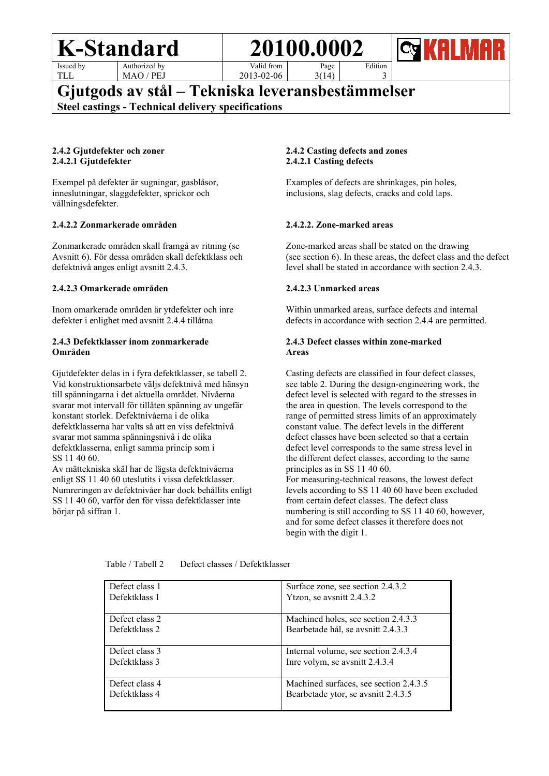Issued by TLL

Authorized by MAO / PEJ

Valid from 2013-02-06 Page  $3(14)$ 



# **Gjutgods av stål – Tekniska leveransbestämmelser**

**Steel castings - Technical delivery specifications**

#### **2.4.2 Gjutdefekter och zoner 2.4.2.1 Gjutdefekter**

Exempel på defekter är sugningar, gasblåsor, inneslutningar, slaggdefekter, sprickor och vällningsdefekter.

#### **2.4.2.2 Zonmarkerade områden**

Zonmarkerade områden skall framgå av ritning (se Avsnitt 6). För dessa områden skall defektklass och defektnivå anges enligt avsnitt 2.4.3.

#### **2.4.2.3 Omarkerade områden**

Inom omarkerade områden är ytdefekter och inre defekter i enlighet med avsnitt 2.4.4 tillåtna

#### **2.4.3 Defektklasser inom zonmarkerade Områden**

Gjutdefekter delas in i fyra defektklasser, se tabell 2. Vid konstruktionsarbete väljs defektnivå med hänsyn till spänningarna i det aktuella området. Nivåerna svarar mot intervall för tillåten spänning av ungefär konstant storlek. Defektnivåerna i de olika defektklasserna har valts så att en viss defektnivå svarar mot samma spänningsnivå i de olika defektklasserna, enligt samma princip som i SS 11 40 60.

Av mättekniska skäl har de lägsta defektnivåerna enligt SS 11 40 60 uteslutits i vissa defektklasser. Numreringen av defektnivåer har dock behållits enligt SS 11 40 60, varför den för vissa defektklasser inte börjar på siffran 1.

#### **2.4.2 Casting defects and zones 2.4.2.1 Casting defects**

Examples of defects are shrinkages, pin holes, inclusions, slag defects, cracks and cold laps.

Edition 3

#### **2.4.2.2. Zone-marked areas**

Zone-marked areas shall be stated on the drawing (see section 6). In these areas, the defect class and the defect level shall be stated in accordance with section 2.4.3.

#### **2.4.2.3 Unmarked areas**

Within unmarked areas, surface defects and internal defects in accordance with section 2.4.4 are permitted.

#### **2.4.3 Defect classes within zone-marked Areas**

Casting defects are classified in four defect classes, see table 2. During the design-engineering work, the defect level is selected with regard to the stresses in the area in question. The levels correspond to the range of permitted stress limits of an approximately constant value. The defect levels in the different defect classes have been selected so that a certain defect level corresponds to the same stress level in the different defect classes, according to the same principles as in SS 11 40 60. For measuring-technical reasons, the lowest defect levels according to SS 11 40 60 have been excluded from certain defect classes. The defect class numbering is still according to SS 11 40 60, however, and for some defect classes it therefore does not begin with the digit 1.

| Defect class 1 | Surface zone, see section 2.4.3.2      |
|----------------|----------------------------------------|
| Defektklass 1  | Ytzon, se avsnitt 2.4.3.2              |
| Defect class 2 | Machined holes, see section 2.4.3.3    |
| Defektklass 2  | Bearbetade hål, se avsnitt 2.4.3.3     |
| Defect class 3 | Internal volume, see section 2.4.3.4   |
| Defektklass 3  | Inre volym, se avsnitt 2.4.3.4         |
| Defect class 4 | Machined surfaces, see section 2.4.3.5 |
| Defektklass 4  | Bearbetade ytor, se avsnitt 2.4.3.5    |

Table / Tabell 2 Defect classes / Defektklasser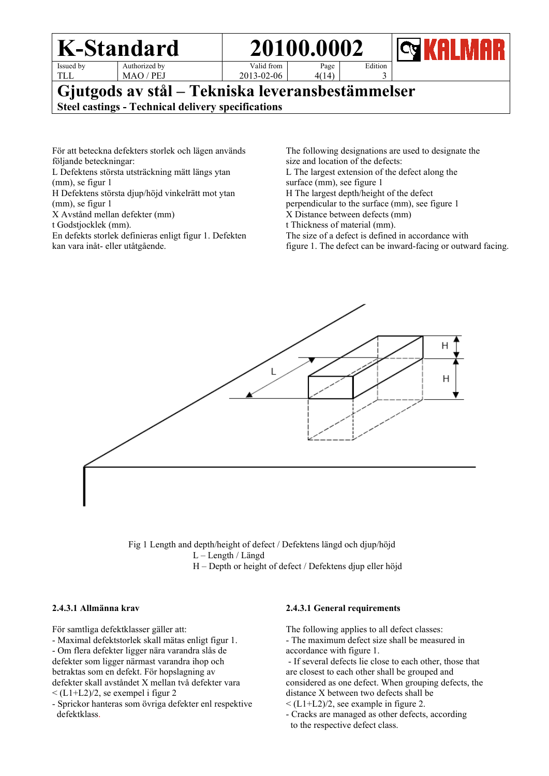|                                                                                                               | 20100.0002<br>K-Standard |            | <b>KALMAR</b><br>$ C_4 $ |         |  |
|---------------------------------------------------------------------------------------------------------------|--------------------------|------------|--------------------------|---------|--|
| Issued by                                                                                                     | Authorized by            | Valid from | Page                     | Edition |  |
| TLL                                                                                                           | MAO / PEJ                | 2013-02-06 | 4(14)                    |         |  |
| Gjutgods av stål – Tekniska leveransbestämmelser<br><b>Steel castings - Technical delivery specifications</b> |                          |            |                          |         |  |

För att beteckna defekters storlek och lägen används följande beteckningar:

L Defektens största utsträckning mätt längs ytan

(mm), se figur 1

H Defektens största djup/höjd vinkelrätt mot ytan

(mm), se figur 1

X Avstånd mellan defekter (mm)

t Godstjocklek (mm).

En defekts storlek definieras enligt figur 1. Defekten kan vara inåt- eller utåtgående.

The following designations are used to designate the size and location of the defects: L The largest extension of the defect along the surface (mm), see figure 1 H The largest depth/height of the defect perpendicular to the surface (mm), see figure 1 X Distance between defects (mm) t Thickness of material (mm). The size of a defect is defined in accordance with

figure 1. The defect can be inward-facing or outward facing.



 Fig 1 Length and depth/height of defect / Defektens längd och djup/höjd L – Length / Längd H – Depth or height of defect / Defektens djup eller höjd

#### **2.4.3.1 Allmänna krav**

För samtliga defektklasser gäller att:

- Maximal defektstorlek skall mätas enligt figur 1.

- Om flera defekter ligger nära varandra slås de defekter som ligger närmast varandra ihop och betraktas som en defekt. För hopslagning av defekter skall avståndet X mellan två defekter vara  $\langle$  (L1+L2)/2, se exempel i figur 2

- Sprickor hanteras som övriga defekter enl respektive defektklass.

#### **2.4.3.1 General requirements**

The following applies to all defect classes:

- The maximum defect size shall be measured in accordance with figure 1.

- If several defects lie close to each other, those that are closest to each other shall be grouped and considered as one defect. When grouping defects, the distance X between two defects shall be

 $\leq$  (L1+L2)/2, see example in figure 2.

- Cracks are managed as other defects, according to the respective defect class.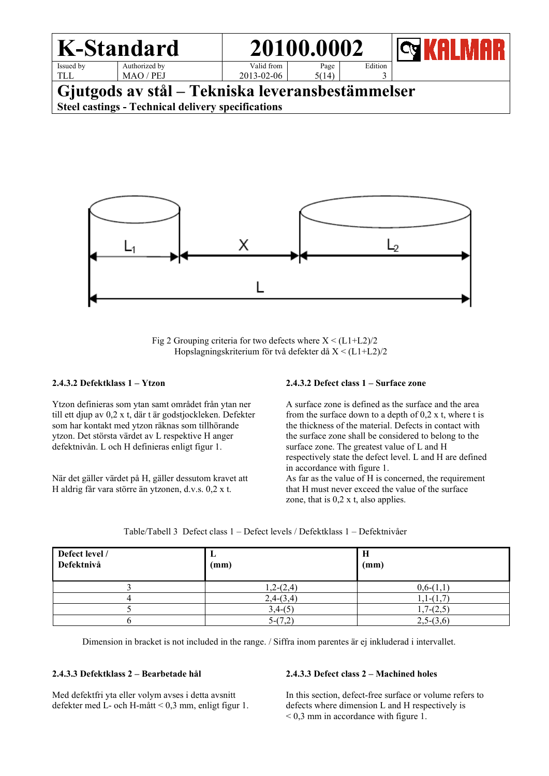



Fig 2 Grouping criteria for two defects where  $X < (L1+L2)/2$ Hopslagningskriterium för två defekter då X < (L1+L2)/2

#### **2.4.3.2 Defektklass 1 – Ytzon**

Ytzon definieras som ytan samt området från ytan ner till ett djup av 0,2 x t, där t är godstjockleken. Defekter som har kontakt med ytzon räknas som tillhörande ytzon. Det största värdet av L respektive H anger defektnivån. L och H definieras enligt figur 1.

När det gäller värdet på H, gäller dessutom kravet att H aldrig får vara större än ytzonen, d.v.s. 0,2 x t.

#### **2.4.3.2 Defect class 1 – Surface zone**

A surface zone is defined as the surface and the area from the surface down to a depth of 0,2 x t, where t is the thickness of the material. Defects in contact with the surface zone shall be considered to belong to the surface zone. The greatest value of L and H respectively state the defect level. L and H are defined in accordance with figure 1. As far as the value of H is concerned, the requirement that H must never exceed the value of the surface zone, that is 0,2 x t, also applies.

| Defect level /<br>Defektnivå | ப<br>(mm)   | H<br>(mm)   |
|------------------------------|-------------|-------------|
|                              | $1,2-(2,4)$ | $0,6-(1,1)$ |
|                              | $2,4-(3,4)$ | $1,1-(1,7)$ |
|                              | $3,4-(5)$   | $1,7-(2,5)$ |
|                              | $5-(7,2)$   | $2,5-(3,6)$ |

Table/Tabell 3 Defect class 1 – Defect levels / Defektklass 1 – Defektnivåer

Dimension in bracket is not included in the range. / Siffra inom parentes är ej inkluderad i intervallet.

#### **2.4.3.3 Defektklass 2 – Bearbetade hål**

Med defektfri yta eller volym avses i detta avsnitt defekter med L- och H-mått < 0,3 mm, enligt figur 1.

#### **2.4.3.3 Defect class 2 – Machined holes**

In this section, defect-free surface or volume refers to defects where dimension L and H respectively is < 0,3 mm in accordance with figure 1.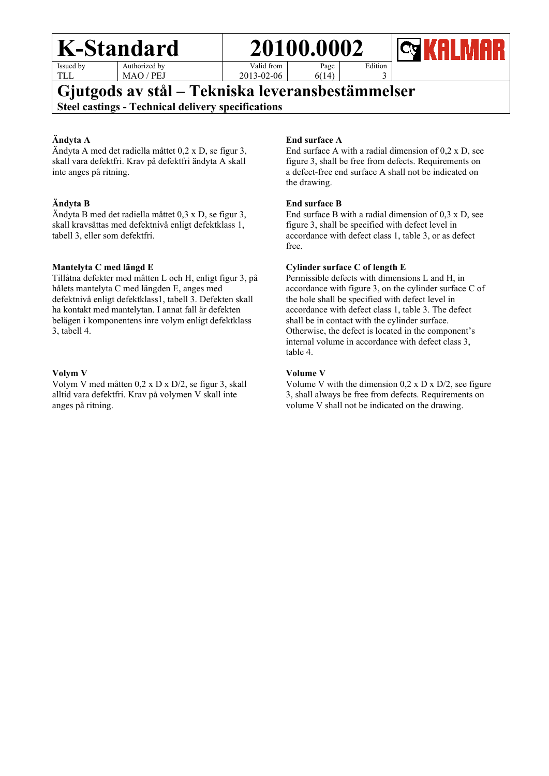Issued by TLL

Authorized by MAO / PEJ Page



Valid from 2013-02-06

6(14)

# **Gjutgods av stål – Tekniska leveransbestämmelser Steel castings - Technical delivery specifications**

### **Ändyta A**

Ändyta A med det radiella måttet 0,2 x D, se figur 3, skall vara defektfri. Krav på defektfri ändyta A skall inte anges på ritning.

### **Ändyta B**

Ändyta B med det radiella måttet 0,3 x D, se figur 3, skall kravsättas med defektnivå enligt defektklass 1, tabell 3, eller som defektfri.

### **Mantelyta C med längd E**

Tillåtna defekter med måtten L och H, enligt figur 3, på hålets mantelyta C med längden E, anges med defektnivå enligt defektklass1, tabell 3. Defekten skall ha kontakt med mantelytan. I annat fall är defekten belägen i komponentens inre volym enligt defektklass 3, tabell 4.

#### **Volym V**

Volym V med måtten 0,2 x D x D/2, se figur 3, skall alltid vara defektfri. Krav på volymen V skall inte anges på ritning.

### **End surface A**

End surface A with a radial dimension of 0,2 x D, see figure 3, shall be free from defects. Requirements on a defect-free end surface A shall not be indicated on the drawing.

Edition 3

### **End surface B**

End surface B with a radial dimension of 0,3 x D, see figure 3, shall be specified with defect level in accordance with defect class 1, table 3, or as defect free.

### **Cylinder surface C of length E**

Permissible defects with dimensions L and H, in accordance with figure 3, on the cylinder surface C of the hole shall be specified with defect level in accordance with defect class 1, table 3. The defect shall be in contact with the cylinder surface. Otherwise, the defect is located in the component's internal volume in accordance with defect class 3, table 4.

#### **Volume V**

Volume V with the dimension  $0.2 \times D \times D/2$ , see figure 3, shall always be free from defects. Requirements on volume V shall not be indicated on the drawing.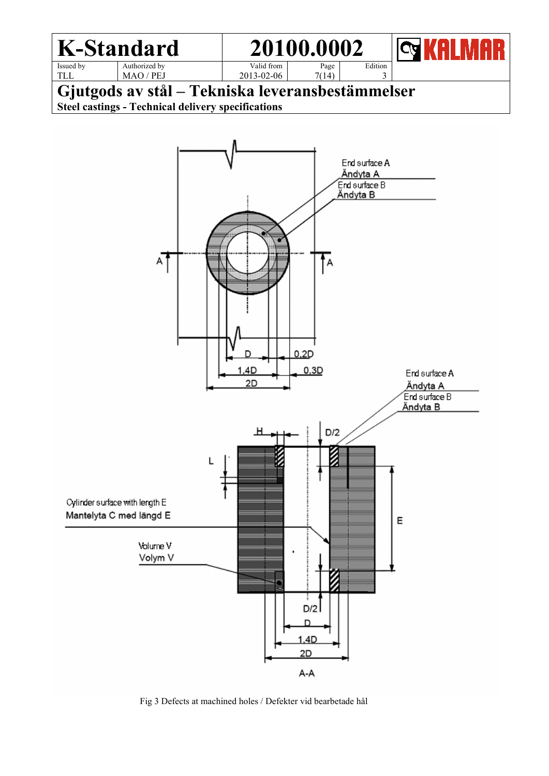

**Gjutgods av stål – Tekniska leveransbestämmelser Steel castings - Technical delivery specifications**



Fig 3 Defects at machined holes / Defekter vid bearbetade hål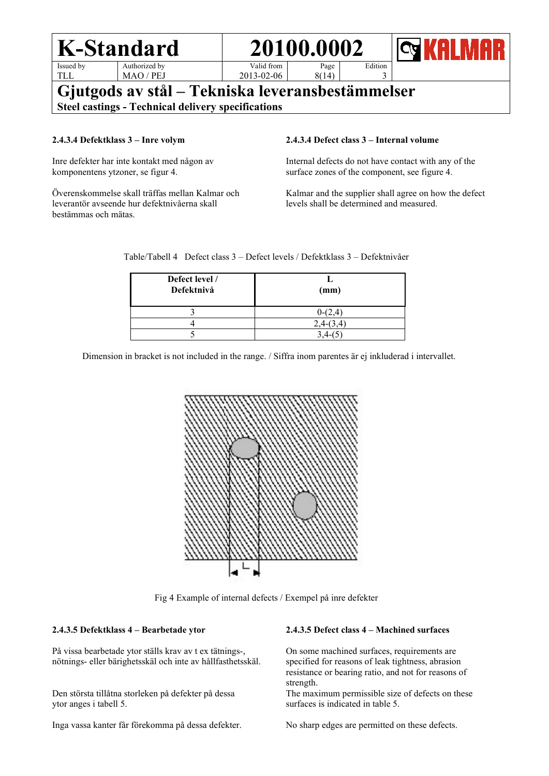|                                                                                                               | K-Standard    |            | 20100.0002 |         | <b>IQIKAI MAR</b> |
|---------------------------------------------------------------------------------------------------------------|---------------|------------|------------|---------|-------------------|
| Issued by                                                                                                     | Authorized by | Valid from | Page       | Edition |                   |
| <b>TLL</b>                                                                                                    | MAO / PEJ     | 2013-02-06 | 8(14)      |         |                   |
| Gjutgods av stål – Tekniska leveransbestämmelser<br><b>Steel castings - Technical delivery specifications</b> |               |            |            |         |                   |

#### **2.4.3.4 Defektklass 3 – Inre volym**

Inre defekter har inte kontakt med någon av komponentens ytzoner, se figur 4.

Överenskommelse skall träffas mellan Kalmar och leverantör avseende hur defektnivåerna skall bestämmas och mätas.

#### **2.4.3.4 Defect class 3 – Internal volume**

Internal defects do not have contact with any of the surface zones of the component, see figure 4.

Kalmar and the supplier shall agree on how the defect levels shall be determined and measured.

Table/Tabell 4 Defect class 3 – Defect levels / Defektklass 3 – Defektnivåer

| Defect level /<br>Defektnivå | (mm)      |
|------------------------------|-----------|
|                              | $0-(2,4)$ |
|                              |           |
|                              |           |

Dimension in bracket is not included in the range. / Siffra inom parentes är ej inkluderad i intervallet.



Fig 4 Example of internal defects / Exempel på inre defekter

#### **2.4.3.5 Defektklass 4 – Bearbetade ytor**

På vissa bearbetade ytor ställs krav av t ex tätnings-, nötnings- eller bärighetsskäl och inte av hållfasthetsskäl.

Den största tillåtna storleken på defekter på dessa ytor anges i tabell 5.

Inga vassa kanter får förekomma på dessa defekter.

#### **2.4.3.5 Defect class 4 – Machined surfaces**

On some machined surfaces, requirements are specified for reasons of leak tightness, abrasion resistance or bearing ratio, and not for reasons of strength.

The maximum permissible size of defects on these surfaces is indicated in table 5.

No sharp edges are permitted on these defects.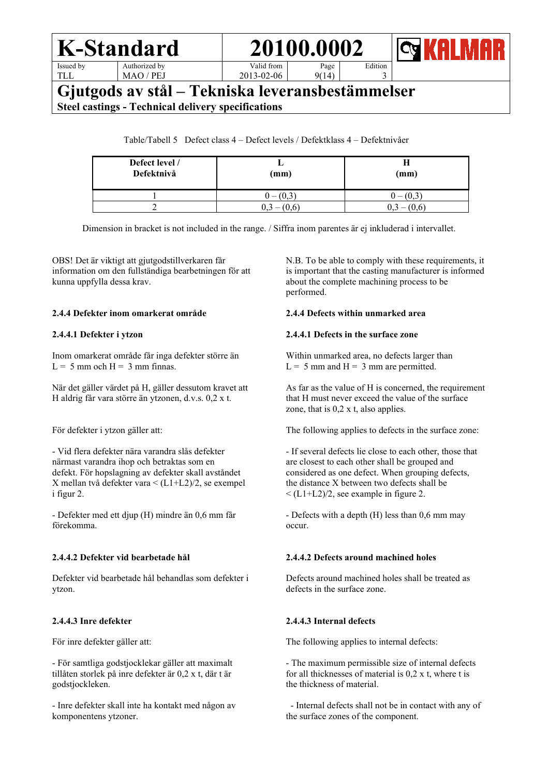| -Standard | 20100.000 |
|-----------|-----------|
|           |           |



Issued by TL<sub>L</sub>

Authorized by MAO / PEJ

Valid from 2013-02-06

Page 9(14)

# **Gjutgods av stål – Tekniska leveransbestämmelser Steel castings - Technical delivery specifications**

Table/Tabell 5 Defect class 4 – Defect levels / Defektklass 4 – Defektnivåer

| Defect level /<br>Defektnivå | (mm)        | п<br>$(\mathbf{mm})$ |
|------------------------------|-------------|----------------------|
|                              | $0 - (0,3)$ | $-(0,3)$             |
|                              | (0.6<br>0,3 | (0,6)<br>0.3         |

Dimension in bracket is not included in the range. / Siffra inom parentes är ej inkluderad i intervallet.

OBS! Det är viktigt att gjutgodstillverkaren får information om den fullständiga bearbetningen för att kunna uppfylla dessa krav.

#### **2.4.4 Defekter inom omarkerat område**

#### **2.4.4.1 Defekter i ytzon**

Inom omarkerat område får inga defekter större än  $L = 5$  mm och H = 3 mm finnas.

När det gäller värdet på H, gäller dessutom kravet att H aldrig får vara större än ytzonen, d.v.s. 0,2 x t.

För defekter i ytzon gäller att:

- Vid flera defekter nära varandra slås defekter närmast varandra ihop och betraktas som en defekt. För hopslagning av defekter skall avståndet X mellan två defekter vara < (L1+L2)/2, se exempel i figur 2.

- Defekter med ett djup (H) mindre än 0,6 mm får förekomma.

### **2.4.4.2 Defekter vid bearbetade hål**

Defekter vid bearbetade hål behandlas som defekter i ytzon.

### **2.4.4.3 Inre defekter**

För inre defekter gäller att:

- För samtliga godstjocklekar gäller att maximalt tillåten storlek på inre defekter är 0,2 x t, där t är godstjockleken.

- Inre defekter skall inte ha kontakt med någon av komponentens ytzoner.

N.B. To be able to comply with these requirements, it is important that the casting manufacturer is informed about the complete machining process to be performed.

Edition 3

#### **2.4.4 Defects within unmarked area**

#### **2.4.4.1 Defects in the surface zone**

Within unmarked area, no defects larger than  $L = 5$  mm and  $H = 3$  mm are permitted.

As far as the value of H is concerned, the requirement that H must never exceed the value of the surface zone, that is  $0.2$  x t, also applies.

The following applies to defects in the surface zone:

- If several defects lie close to each other, those that are closest to each other shall be grouped and considered as one defect. When grouping defects, the distance X between two defects shall be  $\langle$  (L1+L2)/2, see example in figure 2.

- Defects with a depth (H) less than 0,6 mm may occur.

### **2.4.4.2 Defects around machined holes**

Defects around machined holes shall be treated as defects in the surface zone.

### **2.4.4.3 Internal defects**

The following applies to internal defects:

- The maximum permissible size of internal defects for all thicknesses of material is 0,2 x t, where t is the thickness of material.

 - Internal defects shall not be in contact with any of the surface zones of the component.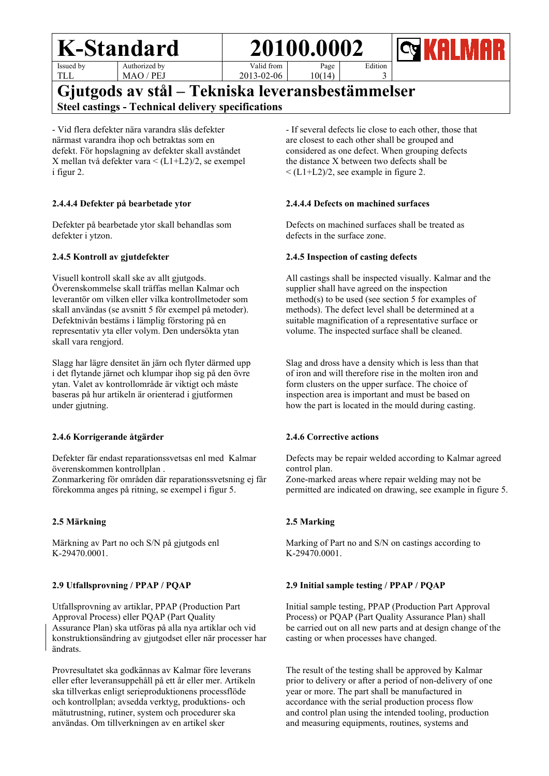Issued by TLL

Authorized by MAO / PEJ Valid from



2013-02-06 Page 10(14)

**Gjutgods av stål – Tekniska leveransbestämmelser**

**Steel castings - Technical delivery specifications**

- Vid flera defekter nära varandra slås defekter närmast varandra ihop och betraktas som en defekt. För hopslagning av defekter skall avståndet X mellan två defekter vara < (L1+L2)/2, se exempel i figur 2.

### **2.4.4.4 Defekter på bearbetade ytor**

Defekter på bearbetade ytor skall behandlas som defekter i ytzon.

### **2.4.5 Kontroll av gjutdefekter**

Visuell kontroll skall ske av allt gjutgods. Överenskommelse skall träffas mellan Kalmar och leverantör om vilken eller vilka kontrollmetoder som skall användas (se avsnitt 5 för exempel på metoder). Defektnivån bestäms i lämplig förstoring på en representativ yta eller volym. Den undersökta ytan skall vara rengjord.

Slagg har lägre densitet än järn och flyter därmed upp i det flytande järnet och klumpar ihop sig på den övre ytan. Valet av kontrollområde är viktigt och måste baseras på hur artikeln är orienterad i gjutformen under gjutning.

### **2.4.6 Korrigerande åtgärder**

Defekter får endast reparationssvetsas enl med Kalmar överenskommen kontrollplan .

Zonmarkering för områden där reparationssvetsning ej får förekomma anges på ritning, se exempel i figur 5.

### **2.5 Märkning**

Märkning av Part no och S/N på gjutgods enl K-29470.0001.

### **2.9 Utfallsprovning / PPAP / PQAP**

Utfallsprovning av artiklar, PPAP (Production Part Approval Process) eller PQAP (Part Quality Assurance Plan) ska utföras på alla nya artiklar och vid konstruktionsändring av gjutgodset eller när processer har ändrats.

Provresultatet ska godkännas av Kalmar före leverans eller efter leveransuppehåll på ett år eller mer. Artikeln ska tillverkas enligt serieproduktionens processflöde och kontrollplan; avsedda verktyg, produktions- och mätutrustning, rutiner, system och procedurer ska användas. Om tillverkningen av en artikel sker

- If several defects lie close to each other, those that are closest to each other shall be grouped and considered as one defect. When grouping defects the distance X between two defects shall be  $\leq$  (L1+L2)/2, see example in figure 2.

Edition 3

### **2.4.4.4 Defects on machined surfaces**

Defects on machined surfaces shall be treated as defects in the surface zone.

### **2.4.5 Inspection of casting defects**

All castings shall be inspected visually. Kalmar and the supplier shall have agreed on the inspection method(s) to be used (see section 5 for examples of methods). The defect level shall be determined at a suitable magnification of a representative surface or volume. The inspected surface shall be cleaned.

Slag and dross have a density which is less than that of iron and will therefore rise in the molten iron and form clusters on the upper surface. The choice of inspection area is important and must be based on how the part is located in the mould during casting.

### **2.4.6 Corrective actions**

Defects may be repair welded according to Kalmar agreed control plan.

Zone-marked areas where repair welding may not be permitted are indicated on drawing, see example in figure 5.

### **2.5 Marking**

Marking of Part no and S/N on castings according to K-29470.0001.

### **2.9 Initial sample testing / PPAP / PQAP**

Initial sample testing, PPAP (Production Part Approval Process) or PQAP (Part Quality Assurance Plan) shall be carried out on all new parts and at design change of the casting or when processes have changed.

The result of the testing shall be approved by Kalmar prior to delivery or after a period of non-delivery of one year or more. The part shall be manufactured in accordance with the serial production process flow and control plan using the intended tooling, production and measuring equipments, routines, systems and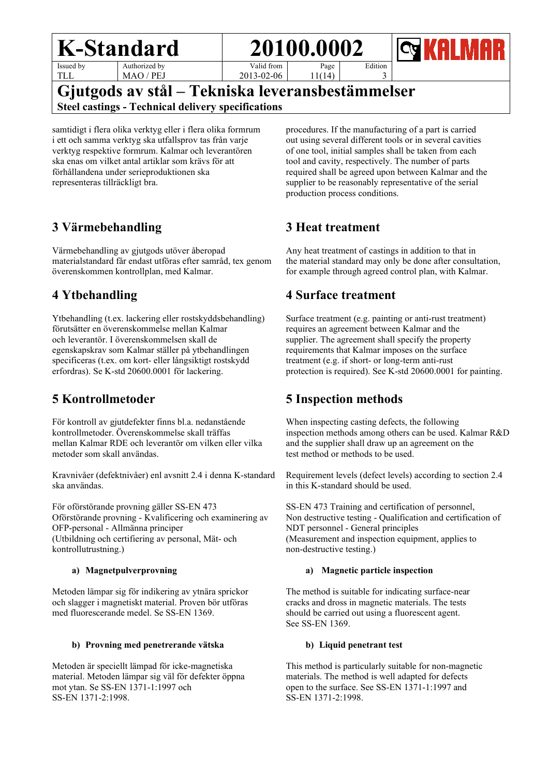





Issued by TLL

Authorized by MAO / PEJ

Valid from 2013-02-06 11(14)

3 **Gjutgods av stål – Tekniska leveransbestämmelser Steel castings - Technical delivery specifications**

samtidigt i flera olika verktyg eller i flera olika formrum i ett och samma verktyg ska utfallsprov tas från varje verktyg respektive formrum. Kalmar och leverantören ska enas om vilket antal artiklar som krävs för att förhållandena under serieproduktionen ska representeras tillräckligt bra.

# **3 Värmebehandling**

Värmebehandling av gjutgods utöver åberopad materialstandard får endast utföras efter samråd, tex genom överenskommen kontrollplan, med Kalmar.

# **4 Ytbehandling**

Ytbehandling (t.ex. lackering eller rostskyddsbehandling) förutsätter en överenskommelse mellan Kalmar och leverantör. I överenskommelsen skall de egenskapskrav som Kalmar ställer på ytbehandlingen specificeras (t.ex. om kort- eller långsiktigt rostskydd erfordras). Se K-std 20600.0001 för lackering.

# **5 Kontrollmetoder**

För kontroll av gjutdefekter finns bl.a. nedanstående kontrollmetoder. Överenskommelse skall träffas mellan Kalmar RDE och leverantör om vilken eller vilka metoder som skall användas.

Kravnivåer (defektnivåer) enl avsnitt 2.4 i denna K-standard ska användas.

För oförstörande provning gäller SS-EN 473 Oförstörande provning - Kvalificering och examinering av OFP-personal - Allmänna principer (Utbildning och certifiering av personal, Mät- och kontrollutrustning.)

### **a) Magnetpulverprovning**

Metoden lämpar sig för indikering av ytnära sprickor och slagger i magnetiskt material. Proven bör utföras med fluorescerande medel. Se SS-EN 1369.

### **b) Provning med penetrerande vätska**

Metoden är speciellt lämpad för icke-magnetiska material. Metoden lämpar sig väl för defekter öppna mot ytan. Se SS-EN 1371-1:1997 och SS-EN 1371-2:1998.

procedures. If the manufacturing of a part is carried out using several different tools or in several cavities of one tool, initial samples shall be taken from each tool and cavity, respectively. The number of parts required shall be agreed upon between Kalmar and the supplier to be reasonably representative of the serial production process conditions.

# **3 Heat treatment**

Any heat treatment of castings in addition to that in the material standard may only be done after consultation, for example through agreed control plan, with Kalmar.

# **4 Surface treatment**

Surface treatment (e.g. painting or anti-rust treatment) requires an agreement between Kalmar and the supplier. The agreement shall specify the property requirements that Kalmar imposes on the surface treatment (e.g. if short- or long-term anti-rust protection is required). See K-std 20600.0001 for painting.

# **5 Inspection methods**

When inspecting casting defects, the following inspection methods among others can be used. Kalmar R&D and the supplier shall draw up an agreement on the test method or methods to be used.

Requirement levels (defect levels) according to section 2.4 in this K-standard should be used.

SS-EN 473 Training and certification of personnel, Non destructive testing - Qualification and certification of NDT personnel - General principles (Measurement and inspection equipment, applies to non-destructive testing.)

#### **a) Magnetic particle inspection**

The method is suitable for indicating surface-near cracks and dross in magnetic materials. The tests should be carried out using a fluorescent agent. See SS-EN 1369.

### **b) Liquid penetrant test**

This method is particularly suitable for non-magnetic materials. The method is well adapted for defects open to the surface. See SS-EN 1371-1:1997 and SS-EN 1371-2:1998.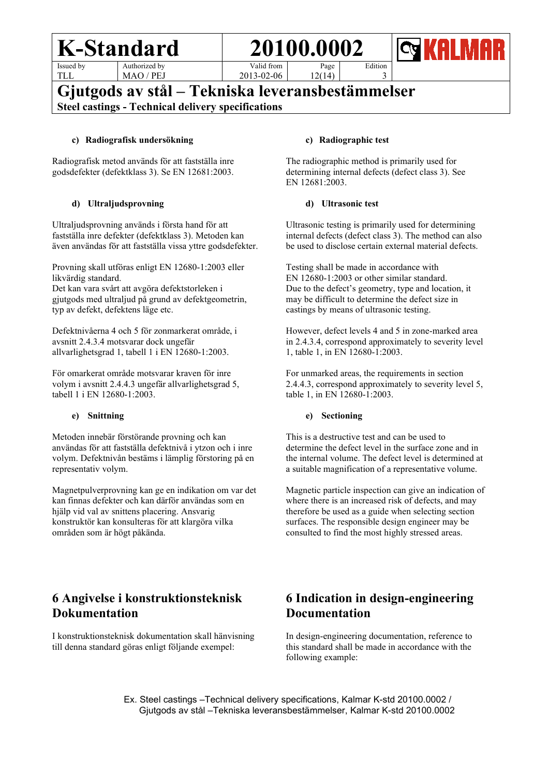Issued by TLL

Authorized by MAO / PEJ Valid from Page 12(14)



2013-02-06

# **Gjutgods av stål – Tekniska leveransbestämmelser Steel castings - Technical delivery specifications**

#### **c) Radiografisk undersökning**

Radiografisk metod används för att fastställa inre godsdefekter (defektklass 3). Se EN 12681:2003.

#### **d) Ultraljudsprovning**

Ultraljudsprovning används i första hand för att fastställa inre defekter (defektklass 3). Metoden kan även användas för att fastställa vissa yttre godsdefekter.

Provning skall utföras enligt EN 12680-1:2003 eller likvärdig standard.

Det kan vara svårt att avgöra defektstorleken i gjutgods med ultraljud på grund av defektgeometrin, typ av defekt, defektens läge etc.

Defektnivåerna 4 och 5 för zonmarkerat område, i avsnitt 2.4.3.4 motsvarar dock ungefär allvarlighetsgrad 1, tabell 1 i EN 12680-1:2003.

För omarkerat område motsvarar kraven för inre volym i avsnitt 2.4.4.3 ungefär allvarlighetsgrad 5, tabell 1 i EN 12680-1:2003.

#### **e) Snittning**

Metoden innebär förstörande provning och kan användas för att fastställa defektnivå i ytzon och i inre volym. Defektnivån bestäms i lämplig förstoring på en representativ volym.

Magnetpulverprovning kan ge en indikation om var det kan finnas defekter och kan därför användas som en hjälp vid val av snittens placering. Ansvarig konstruktör kan konsulteras för att klargöra vilka områden som är högt påkända.

# **6 Angivelse i konstruktionsteknisk Dokumentation**

I konstruktionsteknisk dokumentation skall hänvisning till denna standard göras enligt följande exempel:

#### **c) Radiographic test**

The radiographic method is primarily used for determining internal defects (defect class 3). See EN 12681:2003.

Edition 3

#### **d) Ultrasonic test**

Ultrasonic testing is primarily used for determining internal defects (defect class 3). The method can also be used to disclose certain external material defects.

Testing shall be made in accordance with EN 12680-1:2003 or other similar standard. Due to the defect's geometry, type and location, it may be difficult to determine the defect size in castings by means of ultrasonic testing.

However, defect levels 4 and 5 in zone-marked area in 2.4.3.4, correspond approximately to severity level 1, table 1, in EN 12680-1:2003.

For unmarked areas, the requirements in section 2.4.4.3, correspond approximately to severity level 5, table 1, in EN 12680-1:2003.

#### **e) Sectioning**

This is a destructive test and can be used to determine the defect level in the surface zone and in the internal volume. The defect level is determined at a suitable magnification of a representative volume.

Magnetic particle inspection can give an indication of where there is an increased risk of defects, and may therefore be used as a guide when selecting section surfaces. The responsible design engineer may be consulted to find the most highly stressed areas.

# **6 Indication in design-engineering Documentation**

In design-engineering documentation, reference to this standard shall be made in accordance with the following example:

 Ex. Steel castings –Technical delivery specifications, Kalmar K-std 20100.0002 / Gjutgods av stål –Tekniska leveransbestämmelser, Kalmar K-std 20100.0002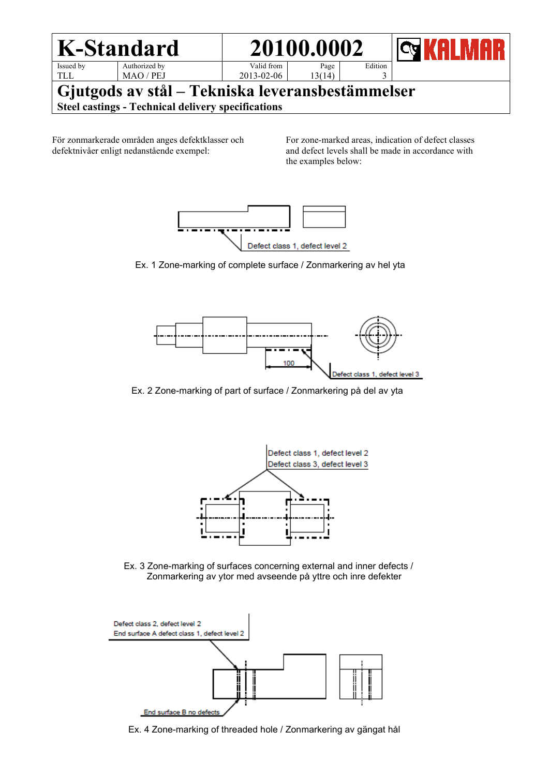

För zonmarkerade områden anges defektklasser och defektnivåer enligt nedanstående exempel:

For zone-marked areas, indication of defect classes and defect levels shall be made in accordance with the examples below:



Ex. 1 Zone-marking of complete surface / Zonmarkering av hel yta



Ex. 2 Zone-marking of part of surface / Zonmarkering på del av yta



 Ex. 3 Zone-marking of surfaces concerning external and inner defects / Zonmarkering av ytor med avseende på yttre och inre defekter



Ex. 4 Zone-marking of threaded hole / Zonmarkering av gängat hål